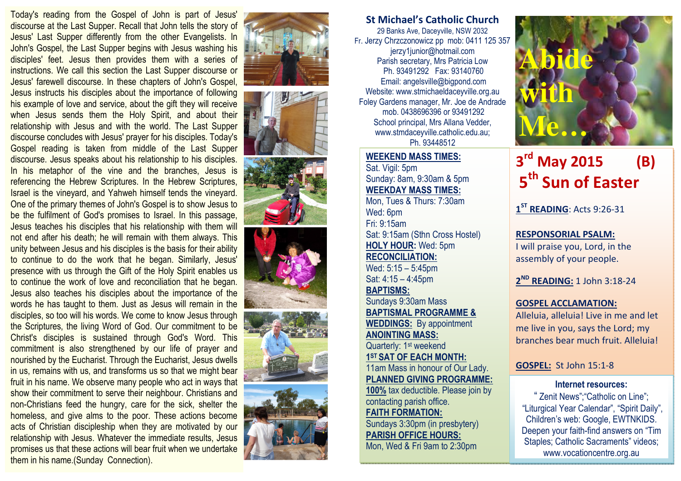Today's reading from the Gospel of John is part of Jesus' discourse at the Last Supper. Recall that John tells the story of Jesus' Last Supper differently from the other Evangelists. In John's Gospel, the Last Supper begins with Jesus washing his disciples' feet. Jesus then provides them with a series of instructions. We call this section the Last Supper discourse or Jesus' farewell discourse. In these chapters of John's Gospel,

Jesus instructs his disciples about the importance of following his example of love and service, about the gift they will receive when Jesus sends them the Holy Spirit, and about their relationship with Jesus and with the world. The Last Supper discourse concludes with Jesus' prayer for his disciples. Today's Gospel reading is taken from middle of the Last Supper discourse. Jesus speaks about his relationship to his disciples. In his metaphor of the vine and the branches, Jesus is referencing the Hebrew Scriptures. In the Hebrew Scriptures, Israel is the vineyard, and Yahweh himself tends the vineyard. One of the primary themes of John's Gospel is to show Jesus to be the fulfilment of God's promises to Israel. In this passage, Jesus teaches his disciples that his relationship with them will not end after his death; he will remain with them always. This unity between Jesus and his disciples is the basis for their ability to continue to do the work that he began. Similarly, Jesus' presence with us through the Gift of the Holy Spirit enables us to continue the work of love and reconciliation that he began. Jesus also teaches his disciples about the importance of the words he has taught to them. Just as Jesus will remain in the disciples, so too will his words. We come to know Jesus through the Scriptures, the living Word of God. Our commitment to be Christ's disciples is sustained through God's Word. This commitment is also strengthened by our life of prayer and nourished by the Eucharist. Through the Eucharist, Jesus dwells in us, remains with us, and transforms us so that we might bear fruit in his name. We observe many people who act in ways that show their commitment to serve their neighbour. Christians and non-Christians feed the hungry, care for the sick, shelter the homeless, and give alms to the poor. These actions become acts of Christian discipleship when they are motivated by our relationship with Jesus. Whatever the immediate results, Jesus promises us that these actions will bear fruit when we undertake them in his name.(Sunday Connection).













## St Michael's Catholic Church

29 Banks Ave, Daceyville, NSW 2032 Fr. Jerzy Chrzczonowicz pp mob: 0411 125 357 jerzy1junior@hotmail.com Parish secretary, Mrs Patricia Low Ph. 93491292 Fax: 93140760 Email: angelsville@bigpond.com Website: www.stmichaeldaceyville.org.au Foley Gardens manager, Mr. Joe de Andrade mob. 0438696396 or 93491292 School principal, Mrs Allana Vedder, www.stmdaceyville.catholic.edu.au; Ph. 93448512

## WEEKEND MASS TIMES:

Sat. Vigil: 5pm Sunday: 8am, 9:30am & 5pm WEEKDAY MASS TIMES: Mon, Tues & Thurs: 7:30am Wed: 6pm Fri: 9:15am Sat: 9:15am (Sthn Cross Hostel) HOLY HOUR: Wed: 5pm RECONCILIATION: Wed: 5:15 – 5:45pm Sat: 4:15 – 4:45pm BAPTISMS: Sundays 9:30am Mass BAPTISMAL PROGRAMME & WEDDINGS: By appointment ANOINTING MASS: Quarterly: 1<sup>st</sup> weekend 1<sup>ST</sup> SAT OF EACH MONTH: 11am Mass in honour of Our Lady. PLANNED GIVING PROGRAMME: 100% tax deductible. Please join by contacting parish office. FAITH FORMATION: Sundays 3:30pm (in presbytery) PARISH OFFICE HOURS: Mon, Wed & Fri 9am to 2:30pm



# $3^{rd}$  May 2015 (B) 5<sup>th</sup> Sun of Easter

1<sup>ST</sup> READING: Acts 9:26-31

RESPONSORIAL PSALM: I will praise you, Lord, in the assembly of your people.

2<sup>ND</sup> READING: 1 John 3:18-24

## GOSPEL ACCLAMATION:

Alleluia, alleluia! Live in me and let me live in you, says the Lord; my branches bear much fruit. Alleluia!

#### GOSPEL: St John 15:1-8

#### Internet resources:

" Zenit News";"Catholic on Line"; "Liturgical Year Calendar", "Spirit Daily", Children's web: Google, EWTNKIDS. Deepen your faith-find answers on "Tim Staples; Catholic Sacraments" videos; www.vocationcentre.org.au